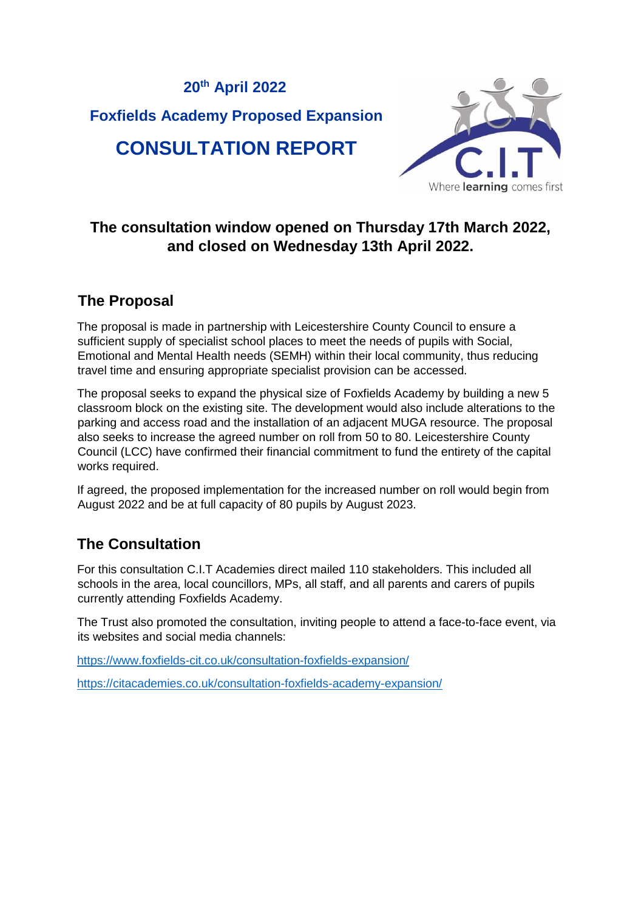# **20 th April 2022 Foxfields Academy Proposed Expansion CONSULTATION REPORT**



### **The consultation window opened on Thursday 17th March 2022, and closed on Wednesday 13th April 2022.**

### **The Proposal**

The proposal is made in partnership with Leicestershire County Council to ensure a sufficient supply of specialist school places to meet the needs of pupils with Social, Emotional and Mental Health needs (SEMH) within their local community, thus reducing travel time and ensuring appropriate specialist provision can be accessed.

The proposal seeks to expand the physical size of Foxfields Academy by building a new 5 classroom block on the existing site. The development would also include alterations to the parking and access road and the installation of an adjacent MUGA resource. The proposal also seeks to increase the agreed number on roll from 50 to 80. Leicestershire County Council (LCC) have confirmed their financial commitment to fund the entirety of the capital works required.

If agreed, the proposed implementation for the increased number on roll would begin from August 2022 and be at full capacity of 80 pupils by August 2023.

## **The Consultation**

For this consultation C.I.T Academies direct mailed 110 stakeholders. This included all schools in the area, local councillors, MPs, all staff, and all parents and carers of pupils currently attending Foxfields Academy.

The Trust also promoted the consultation, inviting people to attend a face-to-face event, via its websites and social media channels:

<https://www.foxfields-cit.co.uk/consultation-foxfields-expansion/>

<https://citacademies.co.uk/consultation-foxfields-academy-expansion/>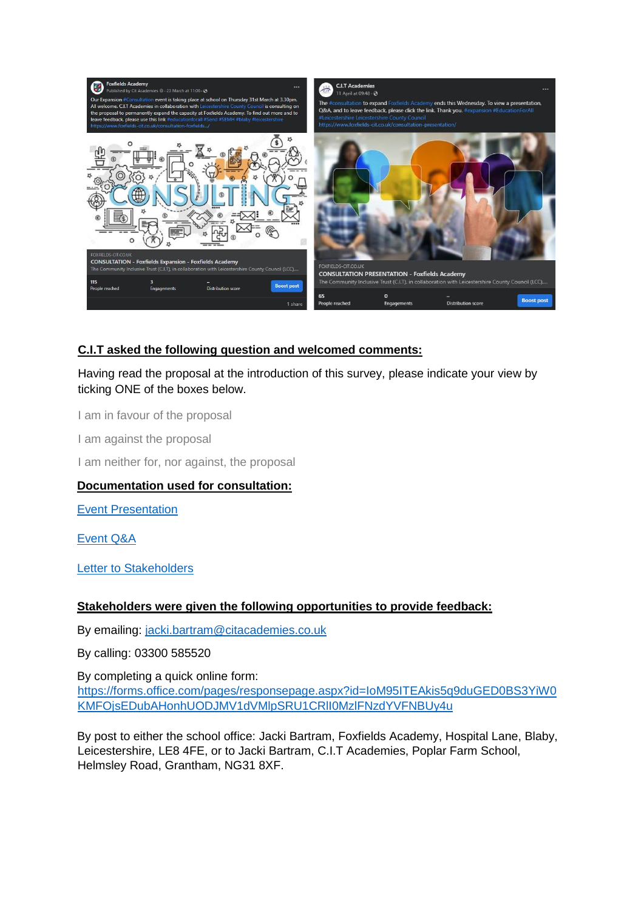

### **C.I.T asked the following question and welcomed comments:**

Having read the proposal at the introduction of this survey, please indicate your view by ticking ONE of the boxes below.

I am in favour of the proposal

I am against the proposal

I am neither for, nor against, the proposal

#### **Documentation used for consultation:**

[Event Presentation](https://www.foxfields-cit.co.uk/wp-content/uploads/2022/03/Foxfields-Expansion-Consult-Presentation.pdf)

[Event Q&A](https://www.foxfields-cit.co.uk/wp-content/uploads/2022/03/Foxfields-Consult-Event-QA-31.3.22.pdf)

[Letter to Stakeholders](https://www.foxfields-cit.co.uk/wp-content/uploads/2022/03/Foxfields-Expansion-Consult-Letter-to-Stakeholders-17.3.22.-2.pdf)

#### **Stakeholders were given the following opportunities to provide feedback:**

By emailing: jacki.bartram@citacademies.co.uk

By calling: 03300 585520

By completing a quick online form: [https://forms.office.com/pages/responsepage.aspx?id=IoM95ITEAkis5q9duGED0BS3YiW0](https://forms.office.com/pages/responsepage.aspx?id=IoM95ITEAkis5q9duGED0BS3YiW0KMFOjsEDubAHonhUODJMV1dVMlpSRU1CRlI0MzlFNzdYVFNBUy4u) [KMFOjsEDubAHonhUODJMV1dVMlpSRU1CRlI0MzlFNzdYVFNBUy4u](https://forms.office.com/pages/responsepage.aspx?id=IoM95ITEAkis5q9duGED0BS3YiW0KMFOjsEDubAHonhUODJMV1dVMlpSRU1CRlI0MzlFNzdYVFNBUy4u)

By post to either the school office: Jacki Bartram, Foxfields Academy, Hospital Lane, Blaby, Leicestershire, LE8 4FE, or to Jacki Bartram, C.I.T Academies, Poplar Farm School, Helmsley Road, Grantham, NG31 8XF.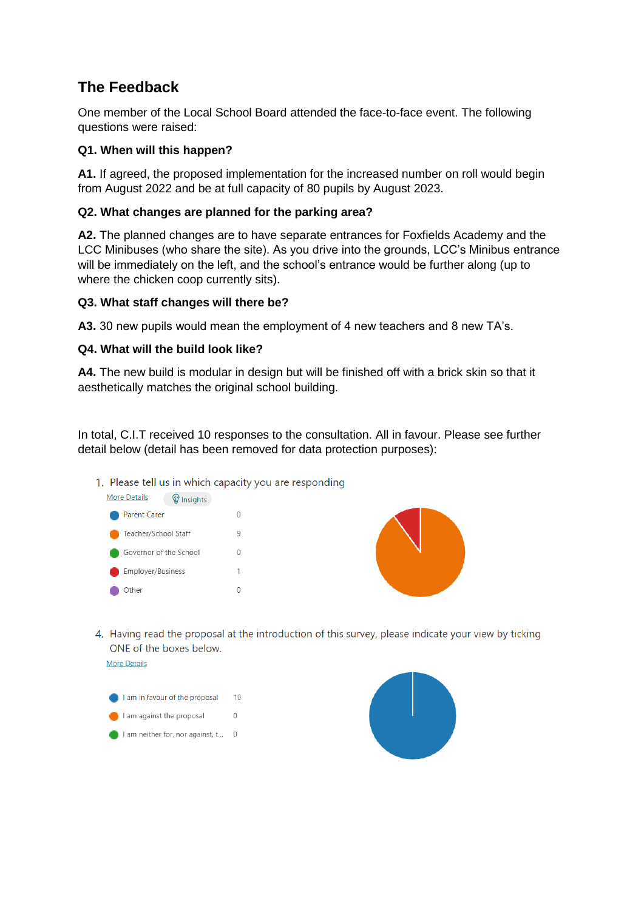### **The Feedback**

One member of the Local School Board attended the face-to-face event. The following questions were raised:

#### **Q1. When will this happen?**

**A1.** If agreed, the proposed implementation for the increased number on roll would begin from August 2022 and be at full capacity of 80 pupils by August 2023.

#### **Q2. What changes are planned for the parking area?**

**A2.** The planned changes are to have separate entrances for Foxfields Academy and the LCC Minibuses (who share the site). As you drive into the grounds, LCC's Minibus entrance will be immediately on the left, and the school's entrance would be further along (up to where the chicken coop currently sits).

#### **Q3. What staff changes will there be?**

**A3.** 30 new pupils would mean the employment of 4 new teachers and 8 new TA's.

#### **Q4. What will the build look like?**

**A4.** The new build is modular in design but will be finished off with a brick skin so that it aesthetically matches the original school building.

In total, C.I.T received 10 responses to the consultation. All in favour. Please see further detail below (detail has been removed for data protection purposes):

1. Please tell us in which capacity you are responding





4. Having read the proposal at the introduction of this survey, please indicate your view by ticking ONE of the boxes below



More Details